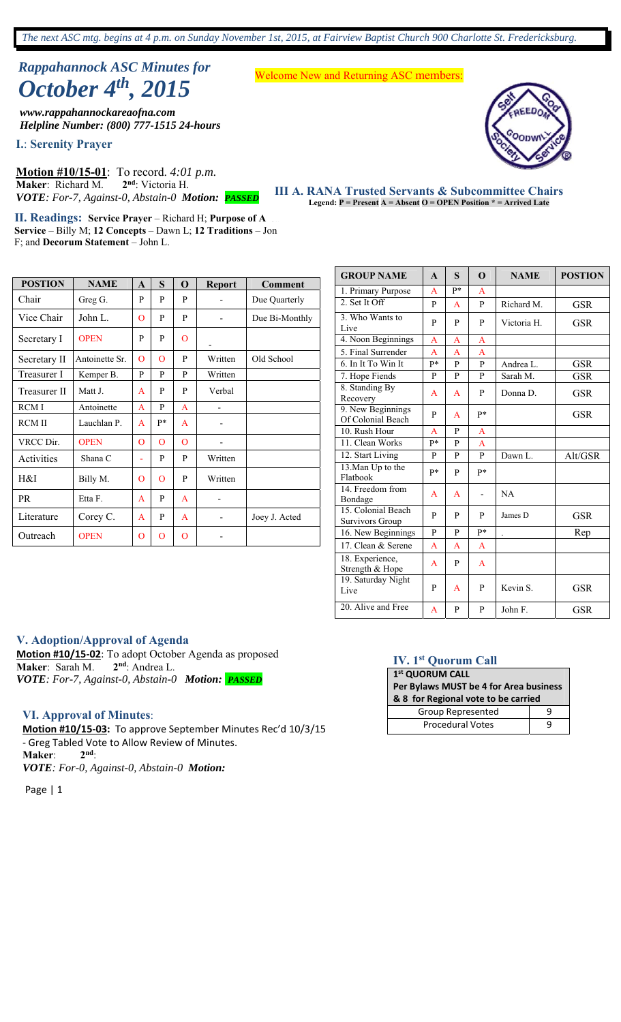*The next ASC mtg. begins at 4 p.m. on Sunday November 1st, 2015, at Fairview Baptist Church 900 Charlotte St. Fredericksburg.*

# *Rappahannock ASC Minutes for October 4<sup>th</sup>*, 2015<br>October 4<sup>th</sup>, 2015

*www.rappahannockareaofna.com Helpline Number: (800) 777-1515 24-hours*

**I.**: **Serenity Prayer** 

**Motion #10/15-01**: To record. *4:01 p.m.*  **Maker**: Richard M. **2nd**: Victoria H. *VOTE: For-7, Against-0, Abstain-0 Motion: PASSED*

**II. Readings: Service Prayer** – Richard H; Purpose of A. ... **Service** – Billy M; **12 Concepts** – Dawn L; **12 Traditions** – Jon F; and **Decorum Statement** – John L.

| <b>POSTION</b> | <b>NAME</b>    | $\mathbf{A}$ | S              | $\mathbf 0$    | <b>Report</b>                | <b>Comment</b> |
|----------------|----------------|--------------|----------------|----------------|------------------------------|----------------|
| Chair          | Greg G.        | P            | P              | P              |                              | Due Quarterly  |
| Vice Chair     | John L.        | $\Omega$     | P              | P              |                              | Due Bi-Monthly |
| Secretary I    | <b>OPEN</b>    | P            | P              | $\overline{O}$ |                              |                |
| Secretary II   | Antoinette Sr. | $\Omega$     | $\Omega$       | P              | Written                      | Old School     |
| Treasurer I    | Kemper B.      | P            | P              | P              | Written                      |                |
| Treasurer II   | Matt J.        | $\mathbf{A}$ | P              | P              | Verbal                       |                |
| <b>RCMI</b>    | Antoinette     | A            | P              | $\overline{A}$ | $\qquad \qquad \blacksquare$ |                |
| <b>RCMII</b>   | Lauchlan P.    | A            | p*             | A              |                              |                |
| VRCC Dir.      | <b>OPEN</b>    | $\mathbf{O}$ | $\mathbf{O}$   | $\overline{O}$ |                              |                |
| Activities     | Shana C        | L,           | P              | P              | Written                      |                |
| H&I            | Billy M.       | $\mathbf{O}$ | $\overline{O}$ | P              | Written                      |                |
| <b>PR</b>      | Etta F.        | A            | P              | A              |                              |                |
| Literature     | Corey C.       | A            | P              | A              |                              | Joey J. Acted  |
| Outreach       | <b>OPEN</b>    | $\mathbf{O}$ | $\overline{O}$ | $\overline{O}$ |                              |                |

**38 meetings** in the Rappahannock Area every week.

**III A. RANA Trusted Servants & Subcommittee Chairs Example 11 USted Servants & Subcommittee Chain**<br>Legend: P = Present A = Absent O = OPEN Position \* = Arrived Late

**GROUP NAME**  $\begin{array}{|c|c|c|c|c|} A & S & O & NAME & POSTION \\ \end{array}$ 1. Primary Purpose A P\* 2. Set It Off  $P | A | P |$  Richard M. GSR 3. Who Wants to  $\begin{array}{c|c|c|c|c|c|c} \text{5.} & \text{Wno wants to} & \text{P} & \text{P} & \text{P} & \text{Victoria H.} & \text{GSR} \end{array}$ 4. Noon Beginnings A A A A 5. Final Surrender A A A 6. In It To Win It P\* P P Andrea L. GSR 7. Hope Fiends P P P Sarah M. GSR 8. Standing By Recovery  $A \mid A \mid P \mid$  Donna D. GSR 9. New Beginnings Of Colonial Beach P A P\* GSR 10. Rush Hour A P A 11. Clean Works P<sup>\*</sup> P A 12. Start Living P P P Dawn L. Alt/GSR 13.Man Up to the Flatbook  $P^*$  P  $P^*$  P  $P^*$ 14. Freedom from Bondage A A - NA 15. Colonial Beach 15. Colonial Beach<br>
Survivors Group P P P James D GSR 16. New Beginnings P <u>P P<sup>\*</sup> . Rep</u> 17. Clean & Serene  $A \cap A$  A  $A$ 

### **V. Adoption/Approval of Agenda**

**Motion #10/15-02**: To adopt October Agenda as proposed **Maker**: Sarah M. 2<sup>nd</sup>: Andrea L. **Maker**: Sarah M. *VOTE: For-7, Against-0, Abstain-0 Motion: PASSED*

#### **VI. Approval of Minutes**:

**Motion #10/15‐03:** To approve September Minutes Rec'd 10/3/15 - Greg Tabled Vote to Allow Review of Minutes.<br>Maker: 2<sup>nd.</sup> **Maker**: *VOTE: For-0, Against-0, Abstain-0 Motion:* 

Page | 1

#### **IV. 1st Quorum Call**

**1st QUORUM CALL** 

18. Experience,<br>Strength & Hope  $A \mid P \mid A$ 

18. Experience,

19. Saturday Night

| Per Bylaws MUST be 4 for Area business |   |  |  |  |  |
|----------------------------------------|---|--|--|--|--|
| & 8 for Regional vote to be carried    |   |  |  |  |  |
| Group Represented                      |   |  |  |  |  |
| <b>Procedural Votes</b>                | q |  |  |  |  |

Live  $P | A | P |$  Kevin S. GSR 20. Alive and Free  $A \mid P \mid P$  John F. GSR

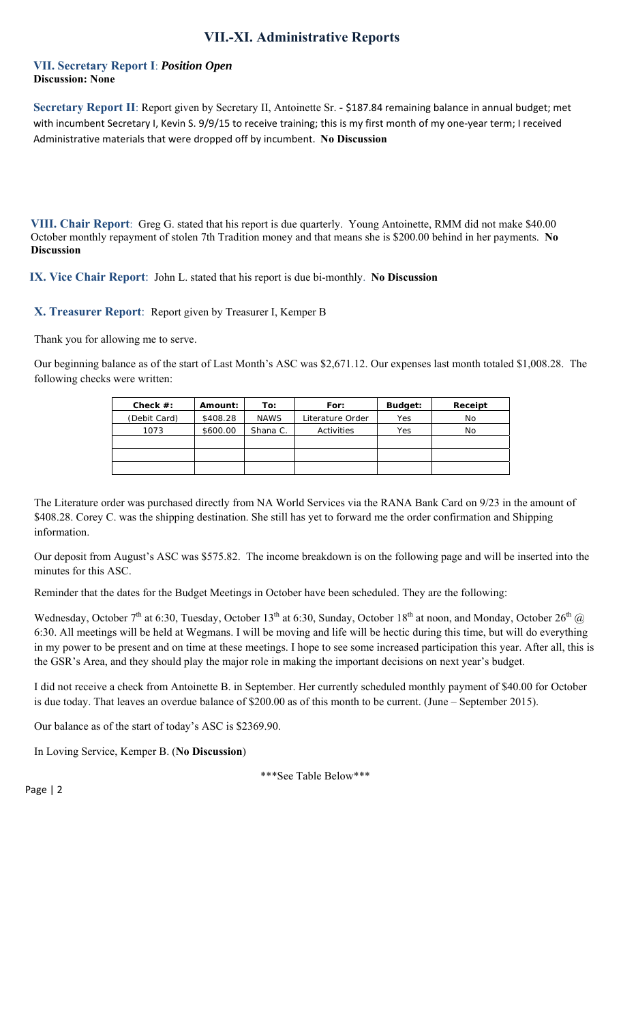# **VII.-XI. Administrative Reports**

#### **VII. Secretary Report I**: *Position Open* **Discussion: None**

**Secretary Report II**: Report given by Secretary II, Antoinette Sr. - \$187.84 remaining balance in annual budget; met with incumbent Secretary I, Kevin S. 9/9/15 to receive training; this is my first month of my one-year term; I received Administrative materials that were dropped off by incumbent. **No Discussion**

**VIII. Chair Report**: Greg G. stated that his report is due quarterly. Young Antoinette, RMM did not make \$40.00 October monthly repayment of stolen 7th Tradition money and that means she is \$200.00 behind in her payments. **No Discussion**

**IX. Vice Chair Report**: John L. stated that his report is due bi-monthly. **No Discussion**

#### **X. Treasurer Report**: Report given by Treasurer I, Kemper B

Thank you for allowing me to serve.

Our beginning balance as of the start of Last Month's ASC was \$2,671.12. Our expenses last month totaled \$1,008.28. The following checks were written:

| Check $#$ :  | Amount:  | To:         | For:             | Budget: | Receipt |
|--------------|----------|-------------|------------------|---------|---------|
| (Debit Card) | \$408.28 | <b>NAWS</b> | Literature Order | Yes     | No      |
| 1073         | \$600.00 | Shana C.    | Activities       | Yes     | No      |
|              |          |             |                  |         |         |
|              |          |             |                  |         |         |
|              |          |             |                  |         |         |

The Literature order was purchased directly from NA World Services via the RANA Bank Card on 9/23 in the amount of \$408.28. Corey C. was the shipping destination. She still has yet to forward me the order confirmation and Shipping information.

Our deposit from August's ASC was \$575.82. The income breakdown is on the following page and will be inserted into the minutes for this ASC.

Reminder that the dates for the Budget Meetings in October have been scheduled. They are the following:

Wednesday, October 7<sup>th</sup> at 6:30, Tuesday, October 13<sup>th</sup> at 6:30, Sunday, October 18<sup>th</sup> at noon, and Monday, October 26<sup>th</sup> @ 6:30. All meetings will be held at Wegmans. I will be moving and life will be hectic during this time, but will do everything in my power to be present and on time at these meetings. I hope to see some increased participation this year. After all, this is the GSR's Area, and they should play the major role in making the important decisions on next year's budget.

I did not receive a check from Antoinette B. in September. Her currently scheduled monthly payment of \$40.00 for October is due today. That leaves an overdue balance of \$200.00 as of this month to be current. (June – September 2015).

Our balance as of the start of today's ASC is \$2369.90.

In Loving Service, Kemper B. (**No Discussion**)

\*\*\*See Table Below\*\*\*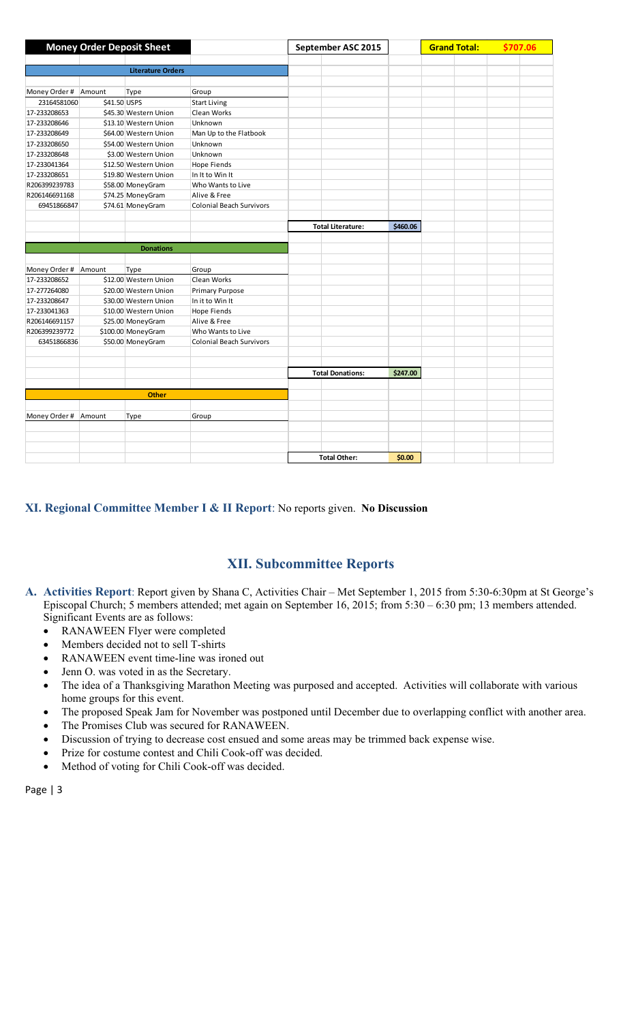|               |              | <b>Money Order Deposit Sheet</b> |                                 | September ASC 2015 |                          |          | <b>Grand Total:</b> |  | \$707.06 |  |
|---------------|--------------|----------------------------------|---------------------------------|--------------------|--------------------------|----------|---------------------|--|----------|--|
|               |              |                                  |                                 |                    |                          |          |                     |  |          |  |
|               |              | <b>Literature Orders</b>         |                                 |                    |                          |          |                     |  |          |  |
|               |              |                                  |                                 |                    |                          |          |                     |  |          |  |
| Money Order # | Amount       | Type                             | Group                           |                    |                          |          |                     |  |          |  |
| 23164581060   | \$41.50 USPS |                                  | <b>Start Living</b>             |                    |                          |          |                     |  |          |  |
| 17-233208653  |              | \$45.30 Western Union            | Clean Works                     |                    |                          |          |                     |  |          |  |
| 17-233208646  |              | \$13.10 Western Union            | Unknown                         |                    |                          |          |                     |  |          |  |
| 17-233208649  |              | \$64.00 Western Union            | Man Up to the Flatbook          |                    |                          |          |                     |  |          |  |
| 17-233208650  |              | \$54.00 Western Union            | Unknown                         |                    |                          |          |                     |  |          |  |
| 17-233208648  |              | \$3.00 Western Union             | Unknown                         |                    |                          |          |                     |  |          |  |
| 17-233041364  |              | \$12.50 Western Union            | <b>Hope Fiends</b>              |                    |                          |          |                     |  |          |  |
| 17-233208651  |              | \$19.80 Western Union            | In It to Win It                 |                    |                          |          |                     |  |          |  |
| R206399239783 |              | \$58.00 MoneyGram                | Who Wants to Live               |                    |                          |          |                     |  |          |  |
| R206146691168 |              | \$74.25 MoneyGram                | Alive & Free                    |                    |                          |          |                     |  |          |  |
| 69451866847   |              | \$74.61 MoneyGram                | <b>Colonial Beach Survivors</b> |                    |                          |          |                     |  |          |  |
|               |              |                                  |                                 |                    |                          |          |                     |  |          |  |
|               |              |                                  |                                 |                    | <b>Total Literature:</b> | \$460.06 |                     |  |          |  |
|               |              |                                  |                                 |                    |                          |          |                     |  |          |  |
|               |              | <b>Donations</b>                 |                                 |                    |                          |          |                     |  |          |  |
|               |              |                                  |                                 |                    |                          |          |                     |  |          |  |
| Money Order # | Amount       | Type                             | Group                           |                    |                          |          |                     |  |          |  |
| 17-233208652  |              | \$12.00 Western Union            | Clean Works                     |                    |                          |          |                     |  |          |  |
| 17-277264080  |              | \$20.00 Western Union            | <b>Primary Purpose</b>          |                    |                          |          |                     |  |          |  |
| 17-233208647  |              | \$30.00 Western Union            | In it to Win It                 |                    |                          |          |                     |  |          |  |
| 17-233041363  |              | \$10.00 Western Union            | <b>Hope Fiends</b>              |                    |                          |          |                     |  |          |  |
| R206146691157 |              | \$25.00 MoneyGram                | Alive & Free                    |                    |                          |          |                     |  |          |  |
| R206399239772 |              | \$100.00 MoneyGram               | Who Wants to Live               |                    |                          |          |                     |  |          |  |
| 63451866836   |              | \$50.00 MoneyGram                | <b>Colonial Beach Survivors</b> |                    |                          |          |                     |  |          |  |
|               |              |                                  |                                 |                    |                          |          |                     |  |          |  |
|               |              |                                  |                                 |                    |                          |          |                     |  |          |  |
|               |              |                                  |                                 |                    | <b>Total Donations:</b>  | \$247.00 |                     |  |          |  |
|               |              |                                  |                                 |                    |                          |          |                     |  |          |  |
|               |              | <b>Other</b>                     |                                 |                    |                          |          |                     |  |          |  |
|               |              |                                  |                                 |                    |                          |          |                     |  |          |  |
| Money Order # | Amount       | Type                             | Group                           |                    |                          |          |                     |  |          |  |
|               |              |                                  |                                 |                    |                          |          |                     |  |          |  |
|               |              |                                  |                                 |                    |                          |          |                     |  |          |  |
|               |              |                                  |                                 |                    |                          |          |                     |  |          |  |
|               |              |                                  |                                 |                    | <b>Total Other:</b>      | \$0.00   |                     |  |          |  |

## **XI. Regional Committee Member I & II Report**: No reports given. **No Discussion**

# **XII. Subcommittee Reports**

- **A. Activities Report**: Report given by Shana C, Activities Chair Met September 1, 2015 from 5:30-6:30pm at St George's Episcopal Church; 5 members attended; met again on September 16, 2015; from 5:30 – 6:30 pm; 13 members attended. Significant Events are as follows:
	- RANAWEEN Flyer were completed
	- Members decided not to sell T-shirts
	- RANAWEEN event time-line was ironed out
	- Jenn O. was voted in as the Secretary.
	- The idea of a Thanksgiving Marathon Meeting was purposed and accepted. Activities will collaborate with various home groups for this event.
	- The proposed Speak Jam for November was postponed until December due to overlapping conflict with another area.
	- The Promises Club was secured for RANAWEEN.
	- Discussion of trying to decrease cost ensued and some areas may be trimmed back expense wise.
	- Prize for costume contest and Chili Cook-off was decided.
	- Method of voting for Chili Cook-off was decided.

```
Page | 3
```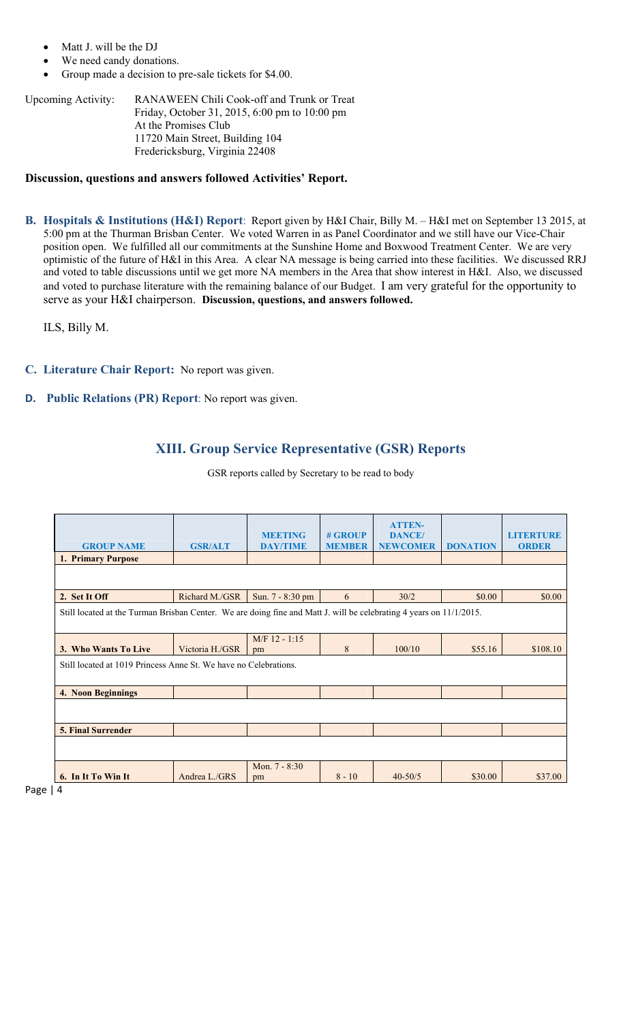- Matt J. will be the DJ
- We need candy donations.
- Group made a decision to pre-sale tickets for \$4.00.

Upcoming Activity: RANAWEEN Chili Cook-off and Trunk or Treat Friday, October 31, 2015, 6:00 pm to 10:00 pm At the Promises Club 11720 Main Street, Building 104 Fredericksburg, Virginia 22408

#### **Discussion, questions and answers followed Activities' Report.**

**B. Hospitals & Institutions (H&I) Report**: Report given by H&I Chair, Billy M. – H&I met on September 13 2015, at 5:00 pm at the Thurman Brisban Center. We voted Warren in as Panel Coordinator and we still have our Vice-Chair position open. We fulfilled all our commitments at the Sunshine Home and Boxwood Treatment Center. We are very optimistic of the future of H&I in this Area. A clear NA message is being carried into these facilities. We discussed RRJ and voted to table discussions until we get more NA members in the Area that show interest in H&I. Also, we discussed and voted to purchase literature with the remaining balance of our Budget. I am very grateful for the opportunity to serve as your H&I chairperson. **Discussion, questions, and answers followed.**

ILS, Billy M.

- **C. Literature Chair Report:** No report was given.
- **D. Public Relations (PR) Report**: No report was given.

## **XIII. Group Service Representative (GSR) Reports**

| <b>GROUP NAME</b><br>1. Primary Purpose                                                                             | <b>GSR/ALT</b>  | <b>MEETING</b><br><b>DAY/TIME</b> | # GROUP<br><b>MEMBER</b> | <b>ATTEN-</b><br><b>DANCE</b> /<br><b>NEWCOMER</b> | <b>DONATION</b> | <b>LITERTURE</b><br><b>ORDER</b> |  |
|---------------------------------------------------------------------------------------------------------------------|-----------------|-----------------------------------|--------------------------|----------------------------------------------------|-----------------|----------------------------------|--|
| 2. Set It Off                                                                                                       | Richard M./GSR  | Sun. 7 - 8:30 pm                  | 6                        | 30/2                                               | \$0.00          | \$0.00                           |  |
| Still located at the Turman Brisban Center. We are doing fine and Matt J. will be celebrating 4 years on 11/1/2015. |                 |                                   |                          |                                                    |                 |                                  |  |
| 3. Who Wants To Live                                                                                                | Victoria H./GSR | $M/F$ 12 - 1:15<br>pm             | 8                        | 100/10                                             | \$55.16         | \$108.10                         |  |
| Still located at 1019 Princess Anne St. We have no Celebrations.                                                    |                 |                                   |                          |                                                    |                 |                                  |  |
| 4. Noon Beginnings                                                                                                  |                 |                                   |                          |                                                    |                 |                                  |  |
|                                                                                                                     |                 |                                   |                          |                                                    |                 |                                  |  |
| <b>5. Final Surrender</b>                                                                                           |                 |                                   |                          |                                                    |                 |                                  |  |
|                                                                                                                     |                 |                                   |                          |                                                    |                 |                                  |  |
|                                                                                                                     |                 | Mon. 7 - 8:30                     |                          |                                                    |                 |                                  |  |
| 6. In It To Win It<br>$\overline{ }$                                                                                | Andrea L./GRS   | pm                                | $8 - 10$                 | $40 - 50/5$                                        | \$30.00         | \$37.00                          |  |

GSR reports called by Secretary to be read to body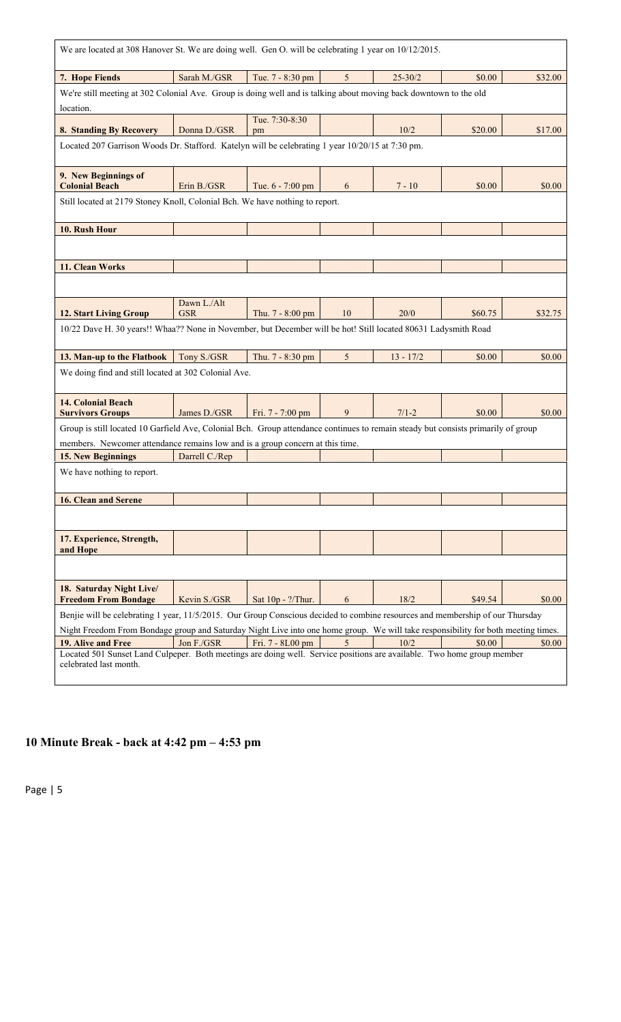| We are located at 308 Hanover St. We are doing well. Gen O. will be celebrating 1 year on 10/12/2015.                                                                                                                                                              |                           |                   |    |             |         |         |  |  |
|--------------------------------------------------------------------------------------------------------------------------------------------------------------------------------------------------------------------------------------------------------------------|---------------------------|-------------------|----|-------------|---------|---------|--|--|
| 7. Hope Fiends                                                                                                                                                                                                                                                     | Sarah M./GSR              | Tue. 7 - 8:30 pm  | 5  | $25 - 30/2$ | \$0.00  | \$32.00 |  |  |
| We're still meeting at 302 Colonial Ave. Group is doing well and is talking about moving back downtown to the old<br>location.                                                                                                                                     |                           |                   |    |             |         |         |  |  |
|                                                                                                                                                                                                                                                                    |                           | Tue. 7:30-8:30    |    |             |         |         |  |  |
| 8. Standing By Recovery                                                                                                                                                                                                                                            | Donna D./GSR              | pm                |    | 10/2        | \$20.00 | \$17.00 |  |  |
| Located 207 Garrison Woods Dr. Stafford. Katelyn will be celebrating 1 year 10/20/15 at 7:30 pm.                                                                                                                                                                   |                           |                   |    |             |         |         |  |  |
| 9. New Beginnings of<br><b>Colonial Beach</b>                                                                                                                                                                                                                      | Erin B./GSR               | Tue. 6 - 7:00 pm  | 6  | $7 - 10$    | \$0.00  | \$0.00  |  |  |
| Still located at 2179 Stoney Knoll, Colonial Bch. We have nothing to report.                                                                                                                                                                                       |                           |                   |    |             |         |         |  |  |
| 10. Rush Hour                                                                                                                                                                                                                                                      |                           |                   |    |             |         |         |  |  |
|                                                                                                                                                                                                                                                                    |                           |                   |    |             |         |         |  |  |
| 11. Clean Works                                                                                                                                                                                                                                                    |                           |                   |    |             |         |         |  |  |
|                                                                                                                                                                                                                                                                    |                           |                   |    |             |         |         |  |  |
| <b>12. Start Living Group</b>                                                                                                                                                                                                                                      | Dawn L./Alt<br><b>GSR</b> | Thu. 7 - 8:00 pm  | 10 | 20/0        | \$60.75 | \$32.75 |  |  |
| 10/22 Dave H. 30 years!! Whaa?? None in November, but December will be hot! Still located 80631 Ladysmith Road                                                                                                                                                     |                           |                   |    |             |         |         |  |  |
| 13. Man-up to the Flatbook                                                                                                                                                                                                                                         | Tony S./GSR               | Thu. 7 - 8:30 pm  | 5  | $13 - 17/2$ | \$0.00  | \$0.00  |  |  |
| We doing find and still located at 302 Colonial Ave.                                                                                                                                                                                                               |                           |                   |    |             |         |         |  |  |
| <b>14. Colonial Beach</b><br><b>Survivors Groups</b>                                                                                                                                                                                                               | James D./GSR              | Fri. 7 - 7:00 pm  | 9  | $7/1 - 2$   | \$0.00  | \$0.00  |  |  |
| Group is still located 10 Garfield Ave, Colonial Bch. Group attendance continues to remain steady but consists primarily of group<br>members. Newcomer attendance remains low and is a group concern at this time.                                                 |                           |                   |    |             |         |         |  |  |
| 15. New Beginnings                                                                                                                                                                                                                                                 | Darrell C./Rep            |                   |    |             |         |         |  |  |
| We have nothing to report.                                                                                                                                                                                                                                         |                           |                   |    |             |         |         |  |  |
| <b>16. Clean and Serene</b>                                                                                                                                                                                                                                        |                           |                   |    |             |         |         |  |  |
|                                                                                                                                                                                                                                                                    |                           |                   |    |             |         |         |  |  |
| 17. Experience, Strength,<br>and Hope                                                                                                                                                                                                                              |                           |                   |    |             |         |         |  |  |
|                                                                                                                                                                                                                                                                    |                           |                   |    |             |         |         |  |  |
| 18. Saturday Night Live/<br><b>Freedom From Bondage</b>                                                                                                                                                                                                            | Kevin S./GSR              | Sat 10p - ?/Thur. | 6  | 18/2        | \$49.54 | \$0.00  |  |  |
| Benjie will be celebrating 1 year, 11/5/2015. Our Group Conscious decided to combine resources and membership of our Thursday<br>Night Freedom From Bondage group and Saturday Night Live into one home group. We will take responsibility for both meeting times. |                           |                   |    |             |         |         |  |  |
| 19. Alive and Free                                                                                                                                                                                                                                                 | Jon F./GSR                | Fri. 7 - 8L00 pm  | 5  | 10/2        | \$0.00  | \$0.00  |  |  |
| Located 501 Sunset Land Culpeper. Both meetings are doing well. Service positions are available. Two home group member<br>celebrated last month.                                                                                                                   |                           |                   |    |             |         |         |  |  |

# **10 Minute Break - back at 4:42 pm – 4:53 pm**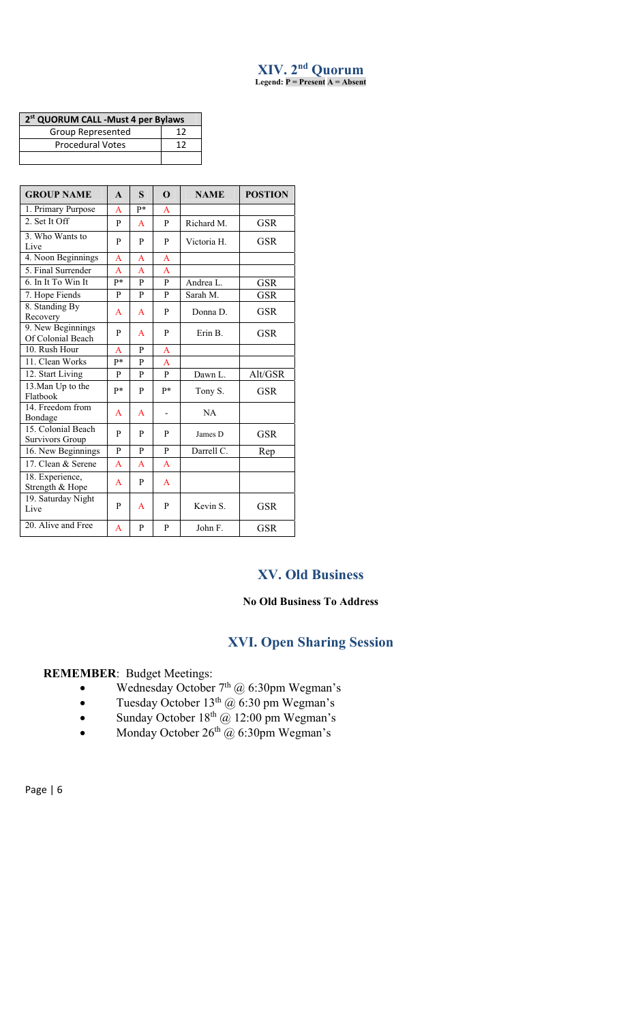#### **XIV. 2nd Quorum Legend: P = Present A = Absent**

| 2 <sup>st</sup> QUORUM CALL -Must 4 per Bylaws |    |  |  |  |  |
|------------------------------------------------|----|--|--|--|--|
| Group Represented                              | 17 |  |  |  |  |
| <b>Procedural Votes</b>                        | 17 |  |  |  |  |
|                                                |    |  |  |  |  |

| <b>GROUP NAME</b>                      | $\mathbf{A}$   | S            | $\Omega$       | <b>NAME</b> | <b>POSTION</b> |
|----------------------------------------|----------------|--------------|----------------|-------------|----------------|
| 1. Primary Purpose                     | A              | p*           | A              |             |                |
| 2. Set It Off                          | P              | $\mathsf{A}$ | P              | Richard M.  | <b>GSR</b>     |
| 3. Who Wants to<br>Live                | $\mathbf{p}$   | P            | P              | Victoria H. | <b>GSR</b>     |
| 4. Noon Beginnings                     | $\overline{A}$ | A            | $\overline{A}$ |             |                |
| 5. Final Surrender                     | $\mathsf{A}$   | A            | $\overline{A}$ |             |                |
| 6. In It To Win It                     | p*             | P            | P              | Andrea L.   | GSR            |
| 7. Hope Fiends                         | P              | P            | P              | Sarah M.    | <b>GSR</b>     |
| 8. Standing By<br>Recovery             | A              | $\mathsf{A}$ | P              | Donna D.    | <b>GSR</b>     |
| 9. New Beginnings<br>Of Colonial Beach | P              | A            | P              | Erin B.     | GSR            |
| 10. Rush Hour                          | A              | $\mathbf{p}$ | $\overline{A}$ |             |                |
| 11. Clean Works                        | p*             | P            | $\overline{A}$ |             |                |
| 12. Start Living                       | P              | P            | P              | Dawn L.     | Alt/GSR        |
| 13. Man Up to the<br>Flatbook          | p*             | P            | p*             | Tony S.     | <b>GSR</b>     |
| 14. Freedom from<br>Bondage            | A              | $\mathsf{A}$ |                | NA          |                |
| 15. Colonial Beach<br>Survivors Group  | P              | P            | P              | James D     | GSR            |
| 16. New Beginnings                     | P              | P            | P              | Darrell C.  | Rep            |
| 17. Clean & Serene                     | $\mathsf{A}$   | A            | $\overline{A}$ |             |                |
| 18. Experience,<br>Strength & Hope     | A              | P            | A              |             |                |
| 19. Saturday Night<br>Live             | P              | A            | P              | Kevin S.    | <b>GSR</b>     |
| 20. Alive and Free                     | A              | P            | P              | John F.     | <b>GSR</b>     |

# **XV. Old Business**

# **No Old Business To Address**

# **XVI. Open Sharing Session**

#### **REMEMBER**: Budget Meetings:

- Wednesday October  $7<sup>th</sup>$  @ 6:30pm Wegman's
- Tuesday October  $13<sup>th</sup>$  @ 6:30 pm Wegman's
- Sunday October  $18<sup>th</sup>$  ( $\overline{a}$ ) 12:00 pm Wegman's
- Monday October  $26<sup>th</sup>$  @ 6:30pm Wegman's